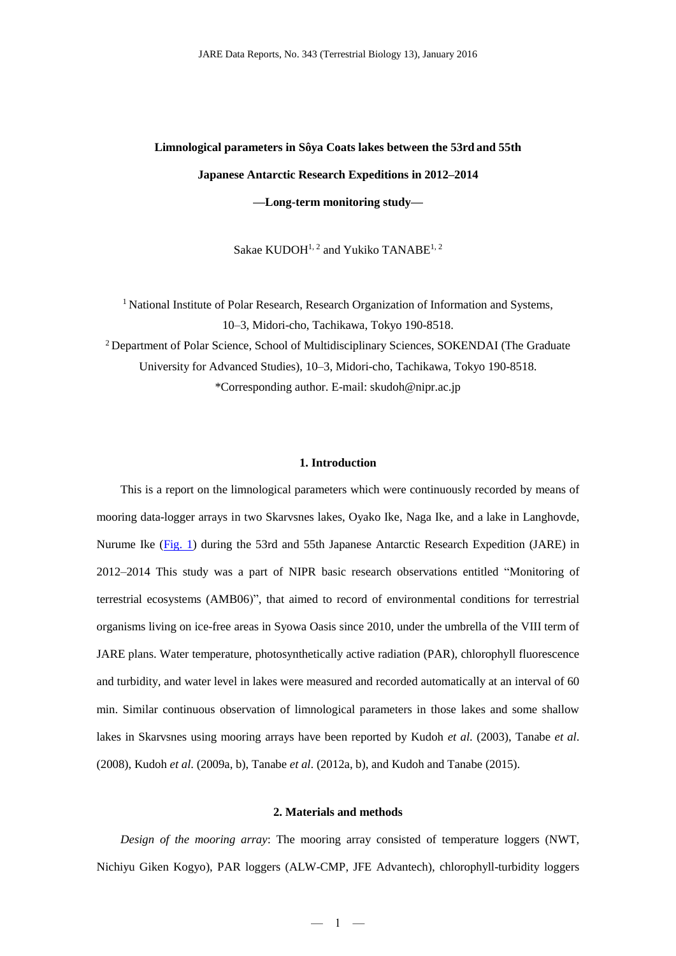# **Limnological parameters in Sôya Coats lakes between the 53rd and 55th Japanese Antarctic Research Expeditions in 2012–2014 —Long-term monitoring study—**

Sakae KUDOH<sup>1, 2</sup> and Yukiko TANABE<sup>1, 2</sup>

<sup>1</sup> National Institute of Polar Research, Research Organization of Information and Systems, 10–3, Midori-cho, Tachikawa, Tokyo 190-8518. <sup>2</sup> Department of Polar Science, School of Multidisciplinary Sciences, SOKENDAI (The Graduate University for Advanced Studies), 10–3, Midori-cho, Tachikawa, Tokyo 190-8518. \*Corresponding author. E-mail: skudoh@nipr.ac.jp

#### **1. Introduction**

This is a report on the limnological parameters which were continuously recorded by means of mooring data-logger arrays in two Skarvsnes lakes, Oyako Ike, Naga Ike, and a lake in Langhovde, Nurume Ike [\(Fig. 1\)](http://polaris.nipr.ac.jp/~parc/pub/v004/nipr_parc_362_0014.docx) during the 53rd and 55th Japanese Antarctic Research Expedition (JARE) in 2012–2014 This study was a part of NIPR basic research observations entitled "Monitoring of terrestrial ecosystems (AMB06)", that aimed to record of environmental conditions for terrestrial organisms living on ice-free areas in Syowa Oasis since 2010, under the umbrella of the VIII term of JARE plans. Water temperature, photosynthetically active radiation (PAR), chlorophyll fluorescence and turbidity, and water level in lakes were measured and recorded automatically at an interval of 60 min. Similar continuous observation of limnological parameters in those lakes and some shallow lakes in Skarvsnes using mooring arrays have been reported by Kudoh *et al*. (2003), Tanabe *et al*. (2008), Kudoh *et al*. (2009a, b), Tanabe *et al*. (2012a, b), and Kudoh and Tanabe (2015).

#### **2. Materials and methods**

*Design of the mooring array*: The mooring array consisted of temperature loggers (NWT, Nichiyu Giken Kogyo), PAR loggers (ALW-CMP, JFE Advantech), chlorophyll-turbidity loggers

 $-1 -$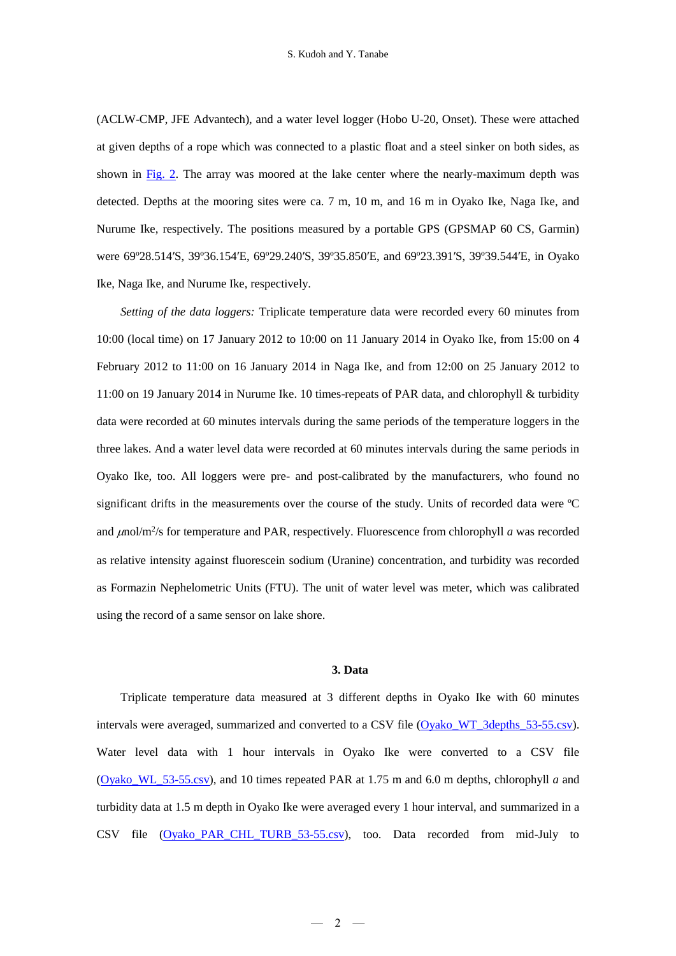(ACLW-CMP, JFE Advantech), and a water level logger (Hobo U-20, Onset). These were attached at given depths of a rope which was connected to a plastic float and a steel sinker on both sides, as shown in [Fig. 2.](http://polaris.nipr.ac.jp/~parc/pub/v004/nipr_parc_362_0014.docx) The array was moored at the lake center where the nearly-maximum depth was detected. Depths at the mooring sites were ca. 7 m, 10 m, and 16 m in Oyako Ike, Naga Ike, and Nurume Ike, respectively. The positions measured by a portable GPS (GPSMAP 60 CS, Garmin) were 69º28.514′S, 39º36.154′E, 69º29.240′S, 39º35.850′E, and 69º23.391′S, 39º39.544′E, in Oyako Ike, Naga Ike, and Nurume Ike, respectively.

*Setting of the data loggers:* Triplicate temperature data were recorded every 60 minutes from 10:00 (local time) on 17 January 2012 to 10:00 on 11 January 2014 in Oyako Ike, from 15:00 on 4 February 2012 to 11:00 on 16 January 2014 in Naga Ike, and from 12:00 on 25 January 2012 to 11:00 on 19 January 2014 in Nurume Ike. 10 times-repeats of PAR data, and chlorophyll & turbidity data were recorded at 60 minutes intervals during the same periods of the temperature loggers in the three lakes. And a water level data were recorded at 60 minutes intervals during the same periods in Oyako Ike, too. All loggers were pre- and post-calibrated by the manufacturers, who found no significant drifts in the measurements over the course of the study. Units of recorded data were ºC and  $\mu$ nol/m<sup>2</sup>/s for temperature and PAR, respectively. Fluorescence from chlorophyll *a* was recorded as relative intensity against fluorescein sodium (Uranine) concentration, and turbidity was recorded as Formazin Nephelometric Units (FTU). The unit of water level was meter, which was calibrated using the record of a same sensor on lake shore.

## **3. Data**

Triplicate temperature data measured at 3 different depths in Oyako Ike with 60 minutes intervals were averaged, summarized and converted to a CSV file [\(Oyako\\_WT\\_3depths\\_53-55.csv\)](http://polaris.nipr.ac.jp/~parc/pub/v001/nipr_parc_362_0007.csv). Water level data with 1 hour intervals in Oyako Ike were converted to a CSV file [\(Oyako\\_WL\\_53-55.csv\)](http://polaris.nipr.ac.jp/~parc/pub/v001/nipr_parc_362_0008.csv), and 10 times repeated PAR at 1.75 m and 6.0 m depths, chlorophyll *a* and turbidity data at 1.5 m depth in Oyako Ike were averaged every 1 hour interval, and summarized in a CSV file [\(Oyako\\_PAR\\_CHL\\_TURB\\_53-55.csv\)](http://polaris.nipr.ac.jp/~parc/pub/v001/nipr_parc_362_0009.csv), too. Data recorded from mid-July to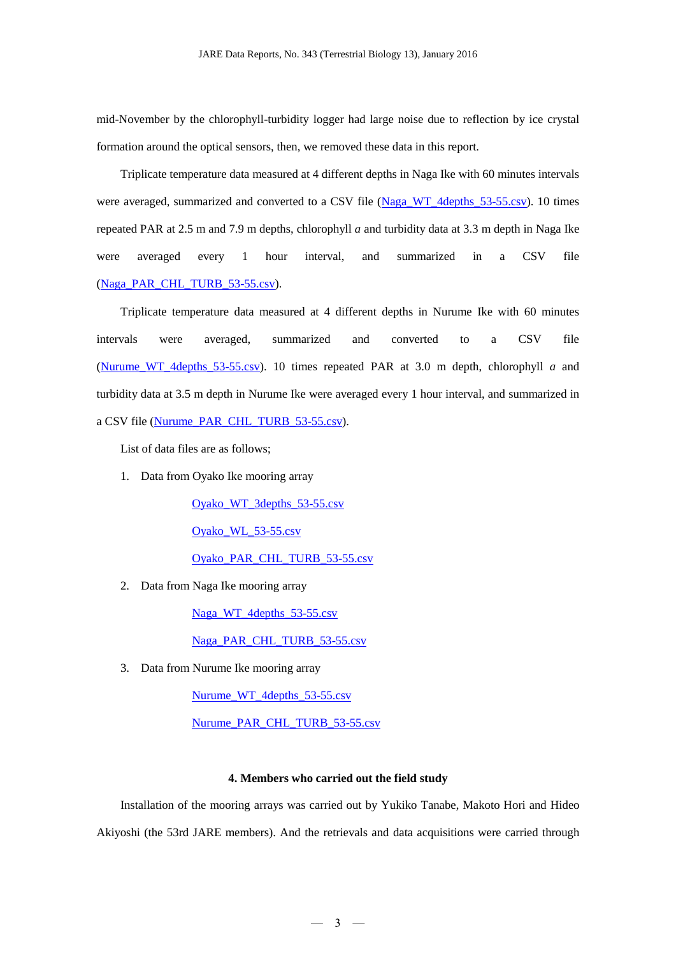mid-November by the chlorophyll-turbidity logger had large noise due to reflection by ice crystal formation around the optical sensors, then, we removed these data in this report.

Triplicate temperature data measured at 4 different depths in Naga Ike with 60 minutes intervals were averaged, summarized and converted to a CSV file [\(Naga\\_WT\\_4depths\\_53-55.csv\)](http://polaris.nipr.ac.jp/~parc/pub/v002/nipr_parc_362_0010.csv). 10 times repeated PAR at 2.5 m and 7.9 m depths, chlorophyll *a* and turbidity data at 3.3 m depth in Naga Ike were averaged every 1 hour interval, and summarized in a CSV file [\(Naga\\_PAR\\_CHL\\_TURB\\_53-55.csv\)](http://polaris.nipr.ac.jp/~parc/pub/v002/nipr_parc_362_0011.csv).

Triplicate temperature data measured at 4 different depths in Nurume Ike with 60 minutes intervals were averaged, summarized and converted to a CSV file (Nurume WT 4depths  $53-55.csv$ ). 10 times repeated PAR at 3.0 m depth, chlorophyll *a* and turbidity data at 3.5 m depth in Nurume Ike were averaged every 1 hour interval, and summarized in a CSV file [\(Nurume\\_PAR\\_CHL\\_TURB\\_53-55.csv\)](http://polaris.nipr.ac.jp/~parc/pub/v003/nipr_parc_362_0013.csv).

List of data files are as follows;

1. Data from Oyako Ike mooring array

[Oyako\\_WT\\_3depths\\_53-55.csv](http://polaris.nipr.ac.jp/~parc/pub/v001/nipr_parc_362_0007.csv) [Oyako\\_WL\\_53-55.csv](http://polaris.nipr.ac.jp/~parc/pub/v001/nipr_parc_362_0008.csv) [Oyako\\_PAR\\_CHL\\_TURB\\_53-55.csv](http://polaris.nipr.ac.jp/~parc/pub/v001/nipr_parc_362_0009.csv)

2. Data from Naga Ike mooring array

[Naga\\_WT\\_4depths\\_53-55.csv](http://polaris.nipr.ac.jp/~parc/pub/v002/nipr_parc_362_0010.csv)

[Naga\\_PAR\\_CHL\\_TURB\\_53-55.csv](http://polaris.nipr.ac.jp/~parc/pub/v002/nipr_parc_362_0011.csv)

3. Data from Nurume Ike mooring array

Nurume WT 4depths 53-55.csv

[Nurume\\_PAR\\_CHL\\_TURB\\_53-55.csv](http://polaris.nipr.ac.jp/~parc/pub/v003/nipr_parc_362_0013.csv)

## **4. Members who carried out the field study**

Installation of the mooring arrays was carried out by Yukiko Tanabe, Makoto Hori and Hideo Akiyoshi (the 53rd JARE members). And the retrievals and data acquisitions were carried through

 $-3 -$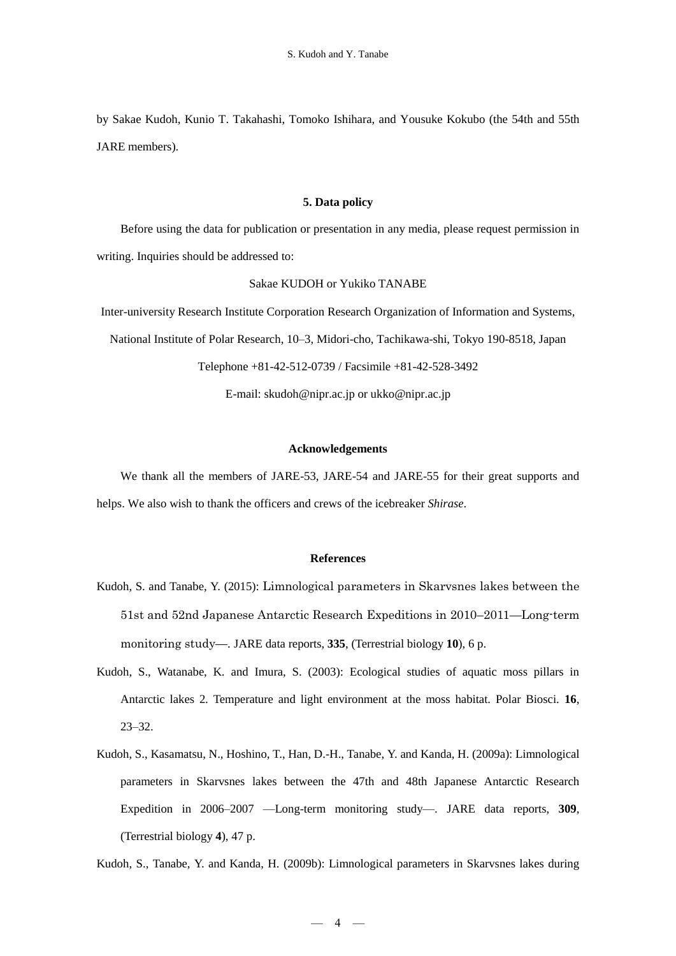by Sakae Kudoh, Kunio T. Takahashi, Tomoko Ishihara, and Yousuke Kokubo (the 54th and 55th JARE members).

## **5. Data policy**

Before using the data for publication or presentation in any media, please request permission in writing. Inquiries should be addressed to:

#### Sakae KUDOH or Yukiko TANABE

Inter-university Research Institute Corporation Research Organization of Information and Systems, National Institute of Polar Research, 10–3, Midori-cho, Tachikawa-shi, Tokyo 190-8518, Japan Telephone +81-42-512-0739 / Facsimile +81-42-528-3492

E-mail: skudoh@nipr.ac.jp or ukko@nipr.ac.jp

#### **Acknowledgements**

We thank all the members of JARE-53, JARE-54 and JARE-55 for their great supports and helps. We also wish to thank the officers and crews of the icebreaker *Shirase*.

### **References**

- Kudoh, S. and Tanabe, Y. (2015): Limnological parameters in Skarvsnes lakes between the 51st and 52nd Japanese Antarctic Research Expeditions in 2010–2011—Long-term monitoring study—. JARE data reports, **335**, (Terrestrial biology **10**), 6 p.
- Kudoh, S., Watanabe, K. and Imura, S. (2003): Ecological studies of aquatic moss pillars in Antarctic lakes 2. Temperature and light environment at the moss habitat. Polar Biosci. **16**, 23–32.
- Kudoh, S., Kasamatsu, N., Hoshino, T., Han, D.-H., Tanabe, Y. and Kanda, H. (2009a): Limnological parameters in Skarvsnes lakes between the 47th and 48th Japanese Antarctic Research Expedition in 2006–2007 —Long-term monitoring study—. JARE data reports, **309**, (Terrestrial biology **4**), 47 p.

Kudoh, S., Tanabe, Y. and Kanda, H. (2009b): Limnological parameters in Skarvsnes lakes during

 $-4$   $-$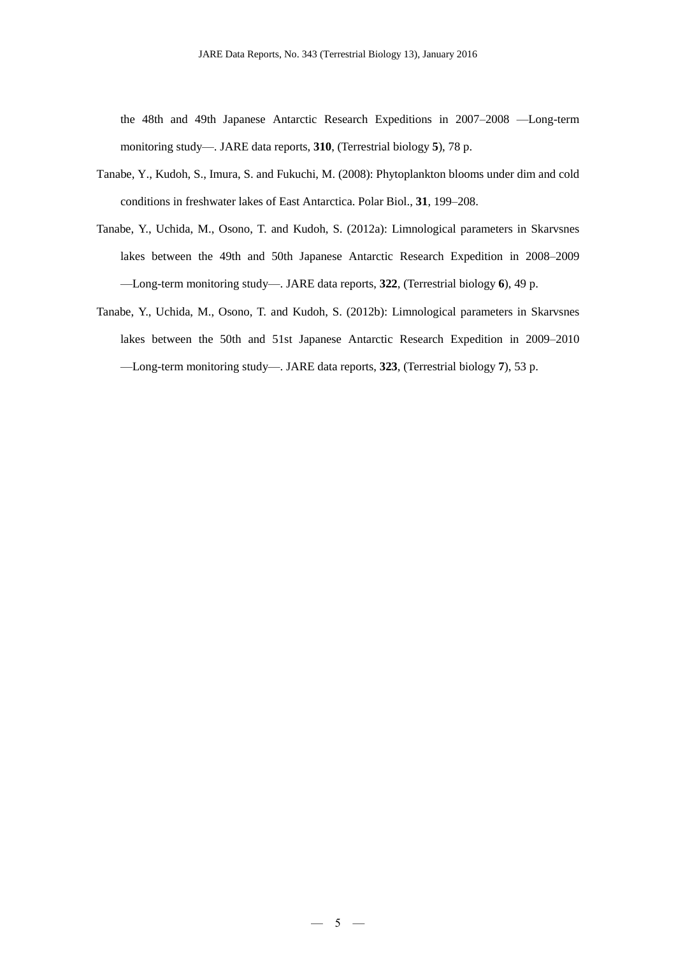the 48th and 49th Japanese Antarctic Research Expeditions in 2007–2008 —Long-term monitoring study—. JARE data reports, **310**, (Terrestrial biology **5**), 78 p.

- Tanabe, Y., Kudoh, S., Imura, S. and Fukuchi, M. (2008): Phytoplankton blooms under dim and cold conditions in freshwater lakes of East Antarctica. Polar Biol., **31**, 199–208.
- Tanabe, Y., Uchida, M., Osono, T. and Kudoh, S. (2012a): Limnological parameters in Skarvsnes lakes between the 49th and 50th Japanese Antarctic Research Expedition in 2008–2009 —Long-term monitoring study—. JARE data reports, **322**, (Terrestrial biology **6**), 49 p.
- Tanabe, Y., Uchida, M., Osono, T. and Kudoh, S. (2012b): Limnological parameters in Skarvsnes lakes between the 50th and 51st Japanese Antarctic Research Expedition in 2009–2010 —Long-term monitoring study—. JARE data reports, **323**, (Terrestrial biology **7**), 53 p.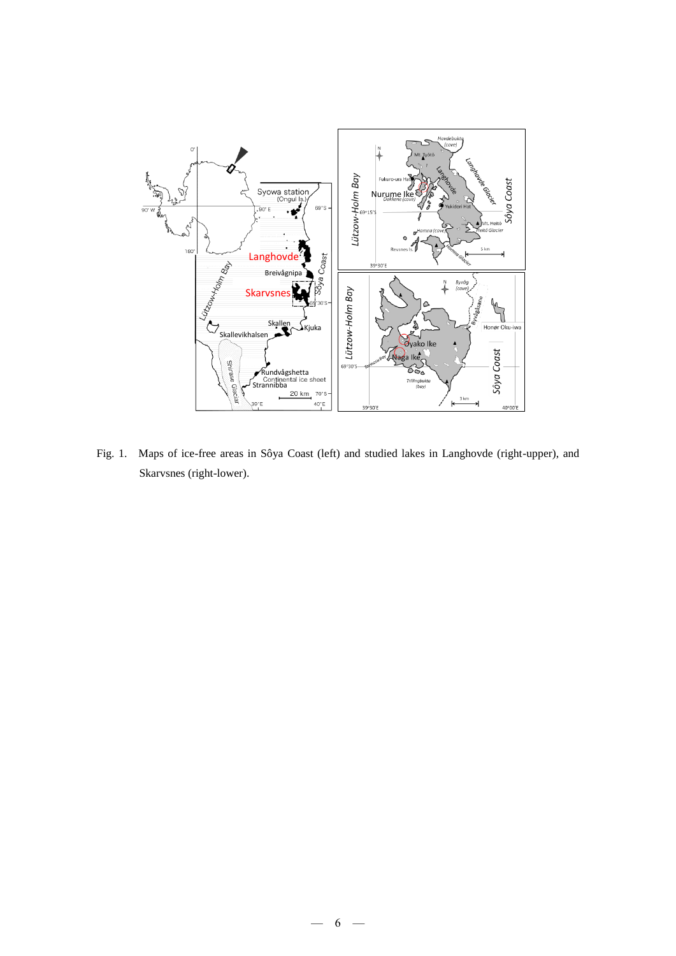

Fig. 1. Maps of ice-free areas in Sôya Coast (left) and studied lakes in Langhovde (right-upper), and Skarvsnes (right-lower).